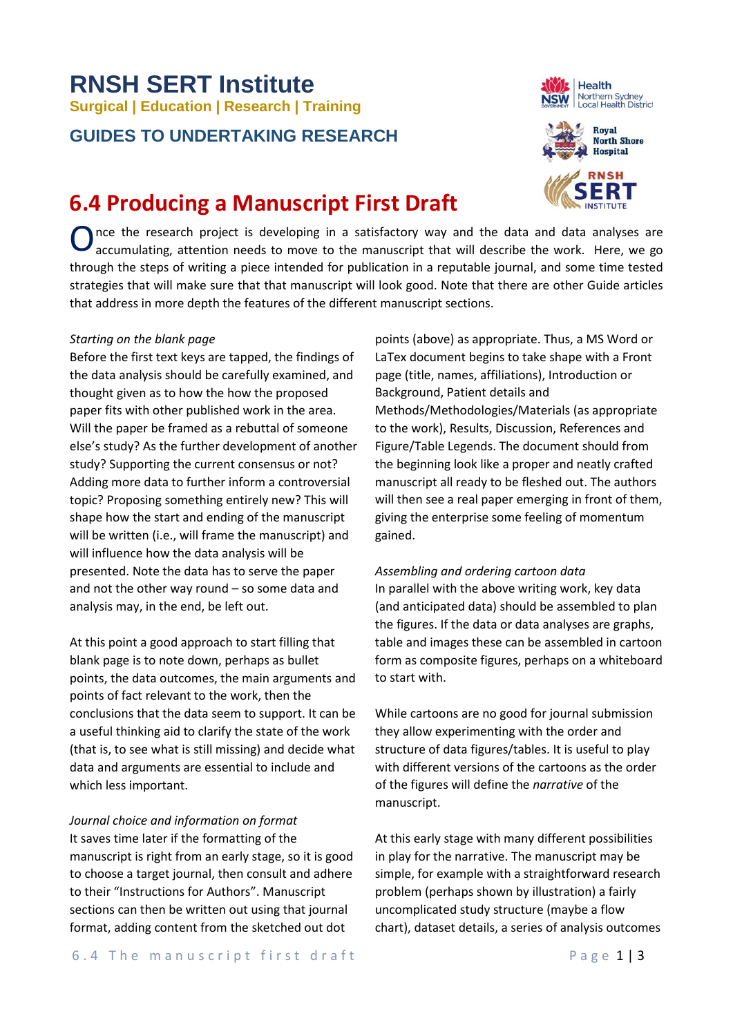# **RNSH SERT Institute Surgical | Education | Research | Training**

### **GUIDES TO UNDERTAKING RESEARCH**

## **6.4 Producing a Manuscript First Draft**

Once the research project is developing in a satisfactory way and the data and data analyses are accumulating, attention needs to move to the manuscript that will describe the work. Here, we go accumulating, attention needs to move to the manuscript that will describe the work. Here, we go through the steps of writing a piece intended for publication in a reputable journal, and some time tested strategies that will make sure that that manuscript will look good. Note that there are other Guide articles that address in more depth the features of the different manuscript sections.

#### *Starting on the blank page*

Before the first text keys are tapped, the findings of the data analysis should be carefully examined, and thought given as to how the how the proposed paper fits with other published work in the area. Will the paper be framed as a rebuttal of someone else's study? As the further development of another study? Supporting the current consensus or not? Adding more data to further inform a controversial topic? Proposing something entirely new? This will shape how the start and ending of the manuscript will be written (i.e., will frame the manuscript) and will influence how the data analysis will be presented. Note the data has to serve the paper and not the other way round – so some data and analysis may, in the end, be left out.

At this point a good approach to start filling that blank page is to note down, perhaps as bullet points, the data outcomes, the main arguments and points of fact relevant to the work, then the conclusions that the data seem to support. It can be a useful thinking aid to clarify the state of the work (that is, to see what is still missing) and decide what data and arguments are essential to include and which less important.

*Journal choice and information on format* It saves time later if the formatting of the manuscript is right from an early stage, so it is good to choose a target journal, then consult and adhere to their "Instructions for Authors". Manuscript sections can then be written out using that journal format, adding content from the sketched out dot

points (above) as appropriate. Thus, a MS Word or LaTex document begins to take shape with a Front page (title, names, affiliations), Introduction or Background, Patient details and Methods/Methodologies/Materials (as appropriate to the work), Results, Discussion, References and Figure/Table Legends. The document should from the beginning look like a proper and neatly crafted manuscript all ready to be fleshed out. The authors will then see a real paper emerging in front of them, giving the enterprise some feeling of momentum gained.

*Assembling and ordering cartoon data* In parallel with the above writing work, key data (and anticipated data) should be assembled to plan the figures. If the data or data analyses are graphs, table and images these can be assembled in cartoon form as composite figures, perhaps on a whiteboard to start with.

While cartoons are no good for journal submission they allow experimenting with the order and structure of data figures/tables. It is useful to play with different versions of the cartoons as the order of the figures will define the *narrative* of the manuscript.

At this early stage with many different possibilities in play for the narrative. The manuscript may be simple, for example with a straightforward research problem (perhaps shown by illustration) a fairly uncomplicated study structure (maybe a flow chart), dataset details, a series of analysis outcomes



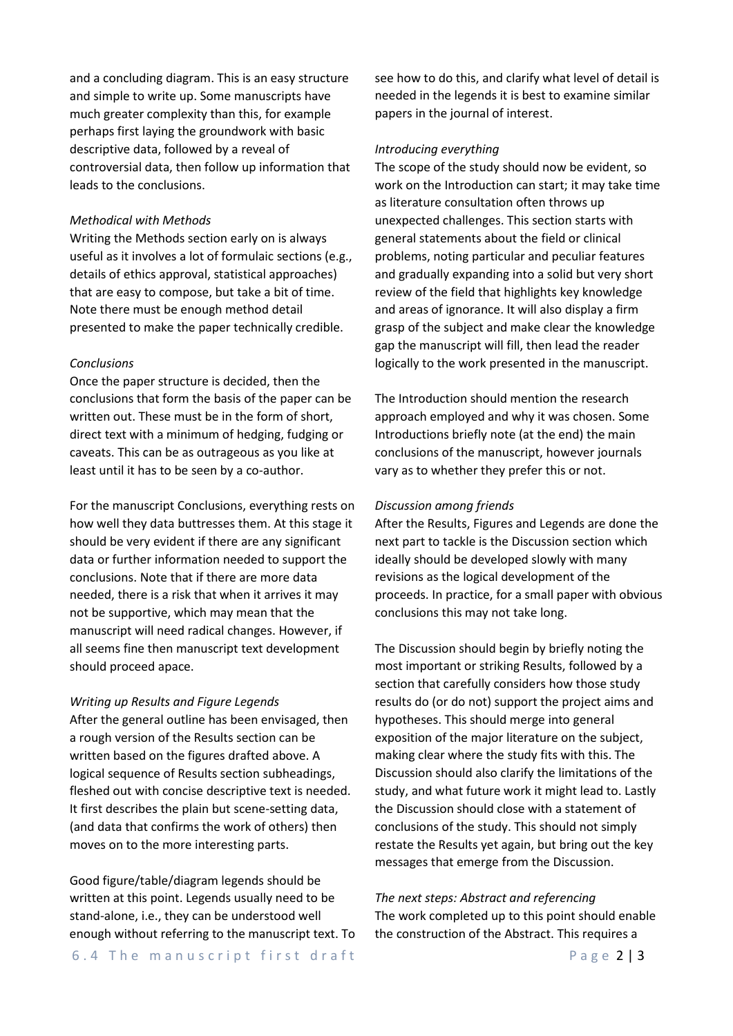and a concluding diagram. This is an easy structure and simple to write up. Some manuscripts have much greater complexity than this, for example perhaps first laying the groundwork with basic descriptive data, followed by a reveal of controversial data, then follow up information that leads to the conclusions.

#### *Methodical with Methods*

Writing the Methods section early on is always useful as it involves a lot of formulaic sections (e.g., details of ethics approval, statistical approaches) that are easy to compose, but take a bit of time. Note there must be enough method detail presented to make the paper technically credible.

#### *Conclusions*

Once the paper structure is decided, then the conclusions that form the basis of the paper can be written out. These must be in the form of short, direct text with a minimum of hedging, fudging or caveats. This can be as outrageous as you like at least until it has to be seen by a co-author.

For the manuscript Conclusions, everything rests on how well they data buttresses them. At this stage it should be very evident if there are any significant data or further information needed to support the conclusions. Note that if there are more data needed, there is a risk that when it arrives it may not be supportive, which may mean that the manuscript will need radical changes. However, if all seems fine then manuscript text development should proceed apace.

#### *Writing up Results and Figure Legends*

After the general outline has been envisaged, then a rough version of the Results section can be written based on the figures drafted above. A logical sequence of Results section subheadings, fleshed out with concise descriptive text is needed. It first describes the plain but scene-setting data, (and data that confirms the work of others) then moves on to the more interesting parts.

Good figure/table/diagram legends should be written at this point. Legends usually need to be stand-alone, i.e., they can be understood well enough without referring to the manuscript text. To see how to do this, and clarify what level of detail is needed in the legends it is best to examine similar papers in the journal of interest.

#### *Introducing everything*

The scope of the study should now be evident, so work on the Introduction can start; it may take time as literature consultation often throws up unexpected challenges. This section starts with general statements about the field or clinical problems, noting particular and peculiar features and gradually expanding into a solid but very short review of the field that highlights key knowledge and areas of ignorance. It will also display a firm grasp of the subject and make clear the knowledge gap the manuscript will fill, then lead the reader logically to the work presented in the manuscript.

The Introduction should mention the research approach employed and why it was chosen. Some Introductions briefly note (at the end) the main conclusions of the manuscript, however journals vary as to whether they prefer this or not.

#### *Discussion among friends*

After the Results, Figures and Legends are done the next part to tackle is the Discussion section which ideally should be developed slowly with many revisions as the logical development of the proceeds. In practice, for a small paper with obvious conclusions this may not take long.

The Discussion should begin by briefly noting the most important or striking Results, followed by a section that carefully considers how those study results do (or do not) support the project aims and hypotheses. This should merge into general exposition of the major literature on the subject, making clear where the study fits with this. The Discussion should also clarify the limitations of the study, and what future work it might lead to. Lastly the Discussion should close with a statement of conclusions of the study. This should not simply restate the Results yet again, but bring out the key messages that emerge from the Discussion.

*The next steps: Abstract and referencing* The work completed up to this point should enable the construction of the Abstract. This requires a